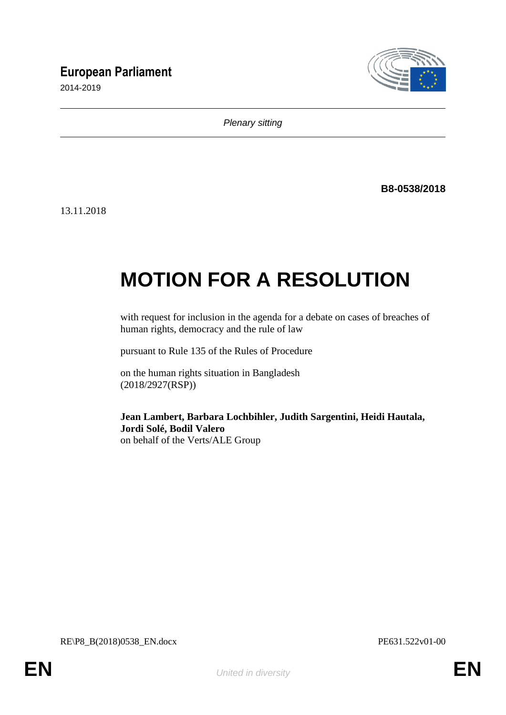# **European Parliament**

2014-2019



*Plenary sitting*

**B8-0538/2018**

13.11.2018

# **MOTION FOR A RESOLUTION**

with request for inclusion in the agenda for a debate on cases of breaches of human rights, democracy and the rule of law

pursuant to Rule 135 of the Rules of Procedure

on the human rights situation in Bangladesh (2018/2927(RSP))

**Jean Lambert, Barbara Lochbihler, Judith Sargentini, Heidi Hautala, Jordi Solé, Bodil Valero** on behalf of the Verts/ALE Group

RE\P8\_B(2018)0538\_EN.docx PE631.522v01-00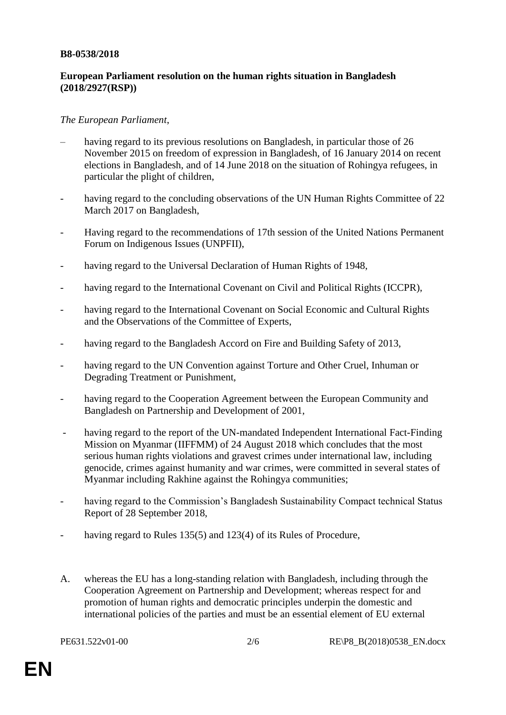#### **B8-0538/2018**

## **European Parliament resolution on the human rights situation in Bangladesh (2018/2927(RSP))**

### *The European Parliament*,

- having regard to its previous resolutions on Bangladesh, in particular those of 26 November 2015 on freedom of expression in Bangladesh, of 16 January 2014 on recent elections in Bangladesh, and of 14 June 2018 on the situation of Rohingya refugees, in particular the plight of children,
- having regard to the concluding observations of the UN Human Rights Committee of 22 March 2017 on Bangladesh,
- Having regard to the recommendations of 17th session of the United Nations Permanent Forum on Indigenous Issues (UNPFII),
- having regard to the Universal Declaration of Human Rights of 1948,
- having regard to the International Covenant on Civil and Political Rights (ICCPR),
- having regard to the International Covenant on Social Economic and Cultural Rights and the Observations of the Committee of Experts,
- having regard to the Bangladesh Accord on Fire and Building Safety of 2013,
- having regard to the UN Convention against Torture and Other Cruel, Inhuman or Degrading Treatment or Punishment,
- having regard to the Cooperation Agreement between the European Community and Bangladesh on Partnership and Development of 2001,
- having regard to the report of the UN-mandated Independent International Fact-Finding Mission on Myanmar (IIFFMM) of 24 August 2018 which concludes that the most serious human rights violations and gravest crimes under international law, including genocide, crimes against humanity and war crimes, were committed in several states of Myanmar including Rakhine against the Rohingya communities;
- having regard to the Commission's Bangladesh Sustainability Compact technical Status Report of 28 September 2018,
- having regard to Rules 135(5) and 123(4) of its Rules of Procedure,
- A. whereas the EU has a long-standing relation with Bangladesh, including through the Cooperation Agreement on Partnership and Development; whereas respect for and promotion of human rights and democratic principles underpin the domestic and international policies of the parties and must be an essential element of EU external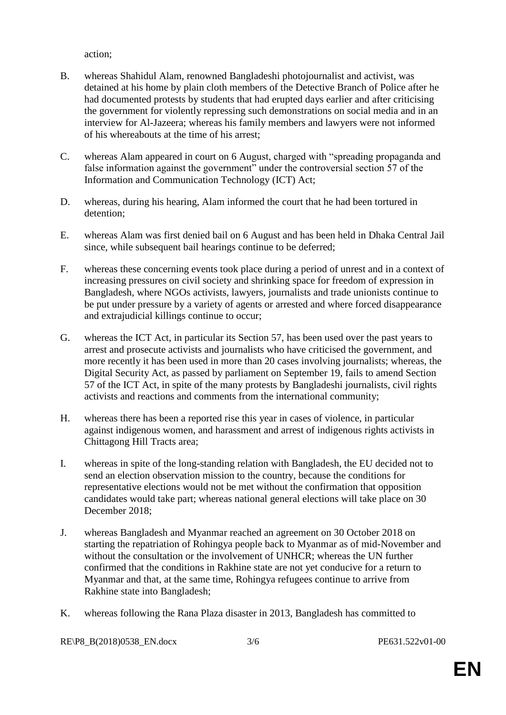action;

- B. whereas Shahidul Alam, renowned Bangladeshi photojournalist and activist, was detained at his home by plain cloth members of the Detective Branch of Police after he had documented protests by students that had erupted days earlier and after criticising the government for violently repressing such demonstrations on social media and in an interview for Al-Jazeera; whereas his family members and lawyers were not informed of his whereabouts at the time of his arrest;
- C. whereas Alam appeared in court on 6 August, charged with "spreading propaganda and false information against the government" under the controversial section 57 of the Information and Communication Technology (ICT) Act;
- D. whereas, during his hearing, Alam informed the court that he had been tortured in detention;
- E. whereas Alam was first denied bail on 6 August and has been held in Dhaka Central Jail since, while subsequent bail hearings continue to be deferred;
- F. whereas these concerning events took place during a period of unrest and in a context of increasing pressures on civil society and shrinking space for freedom of expression in Bangladesh, where NGOs activists, lawyers, journalists and trade unionists continue to be put under pressure by a variety of agents or arrested and where forced disappearance and extrajudicial killings continue to occur;
- G. whereas the ICT Act, in particular its Section 57, has been used over the past years to arrest and prosecute activists and journalists who have criticised the government, and more recently it has been used in more than 20 cases involving journalists; whereas, the Digital Security Act, as passed by parliament on September 19, fails to amend Section 57 of the ICT Act, in spite of the many protests by Bangladeshi journalists, civil rights activists and reactions and comments from the international community;
- H. whereas there has been a reported rise this year in cases of violence, in particular against indigenous women, and harassment and arrest of indigenous rights activists in Chittagong Hill Tracts area;
- I. whereas in spite of the long-standing relation with Bangladesh, the EU decided not to send an election observation mission to the country, because the conditions for representative elections would not be met without the confirmation that opposition candidates would take part; whereas national general elections will take place on 30 December 2018;
- J. whereas Bangladesh and Myanmar reached an agreement on 30 October 2018 on starting the repatriation of Rohingya people back to Myanmar as of mid-November and without the consultation or the involvement of UNHCR; whereas the UN further confirmed that the conditions in Rakhine state are not yet conducive for a return to Myanmar and that, at the same time, Rohingya refugees continue to arrive from Rakhine state into Bangladesh;
- K. whereas following the Rana Plaza disaster in 2013, Bangladesh has committed to

RE\P8\_B(2018)0538\_EN.docx 3/6 PE631.522v01-00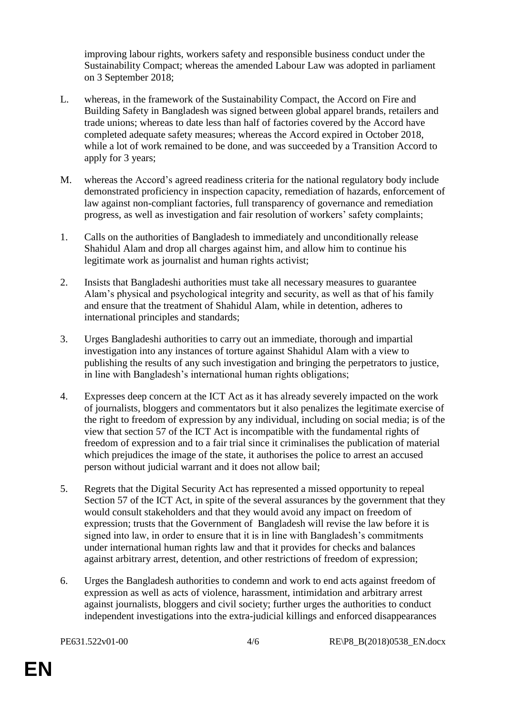improving labour rights, workers safety and responsible business conduct under the Sustainability Compact; whereas the amended Labour Law was adopted in parliament on 3 September 2018;

- L. whereas, in the framework of the Sustainability Compact, the Accord on Fire and Building Safety in Bangladesh was signed between global apparel brands, retailers and trade unions; whereas to date less than half of factories covered by the Accord have completed adequate safety measures; whereas the Accord expired in October 2018, while a lot of work remained to be done, and was succeeded by a Transition Accord to apply for 3 years;
- M. whereas the Accord's agreed readiness criteria for the national regulatory body include demonstrated proficiency in inspection capacity, remediation of hazards, enforcement of law against non-compliant factories, full transparency of governance and remediation progress, as well as investigation and fair resolution of workers' safety complaints;
- 1. Calls on the authorities of Bangladesh to immediately and unconditionally release Shahidul Alam and drop all charges against him, and allow him to continue his legitimate work as journalist and human rights activist;
- 2. Insists that Bangladeshi authorities must take all necessary measures to guarantee Alam's physical and psychological integrity and security, as well as that of his family and ensure that the treatment of Shahidul Alam, while in detention, adheres to international principles and standards;
- 3. Urges Bangladeshi authorities to carry out an immediate, thorough and impartial investigation into any instances of torture against Shahidul Alam with a view to publishing the results of any such investigation and bringing the perpetrators to justice, in line with Bangladesh's international human rights obligations;
- 4. Expresses deep concern at the ICT Act as it has already severely impacted on the work of journalists, bloggers and commentators but it also penalizes the legitimate exercise of the right to freedom of expression by any individual, including on social media; is of the view that section 57 of the ICT Act is incompatible with the fundamental rights of freedom of expression and to a fair trial since it criminalises the publication of material which prejudices the image of the state, it authorises the police to arrest an accused person without judicial warrant and it does not allow bail;
- 5. Regrets that the Digital Security Act has represented a missed opportunity to repeal Section 57 of the ICT Act, in spite of the several assurances by the government that they would consult stakeholders and that they would avoid any impact on freedom of expression; trusts that the Government of Bangladesh will revise the law before it is signed into law, in order to ensure that it is in line with Bangladesh's commitments under international human rights law and that it provides for checks and balances against arbitrary arrest, detention, and other restrictions of freedom of expression;
- 6. Urges the Bangladesh authorities to condemn and work to end acts against freedom of expression as well as acts of violence, harassment, intimidation and arbitrary arrest against journalists, bloggers and civil society; further urges the authorities to conduct independent investigations into the extra-judicial killings and enforced disappearances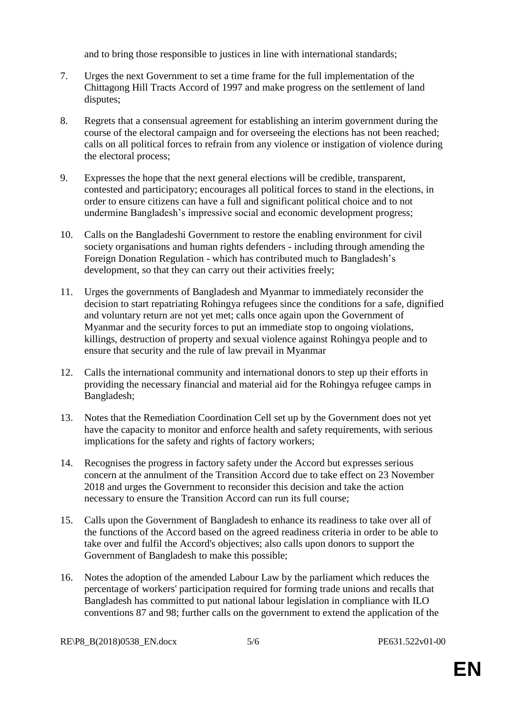and to bring those responsible to justices in line with international standards;

- 7. Urges the next Government to set a time frame for the full implementation of the Chittagong Hill Tracts Accord of 1997 and make progress on the settlement of land disputes;
- 8. Regrets that a consensual agreement for establishing an interim government during the course of the electoral campaign and for overseeing the elections has not been reached; calls on all political forces to refrain from any violence or instigation of violence during the electoral process;
- 9. Expresses the hope that the next general elections will be credible, transparent, contested and participatory; encourages all political forces to stand in the elections, in order to ensure citizens can have a full and significant political choice and to not undermine Bangladesh's impressive social and economic development progress;
- 10. Calls on the Bangladeshi Government to restore the enabling environment for civil society organisations and human rights defenders - including through amending the Foreign Donation Regulation - which has contributed much to Bangladesh's development, so that they can carry out their activities freely;
- 11. Urges the governments of Bangladesh and Myanmar to immediately reconsider the decision to start repatriating Rohingya refugees since the conditions for a safe, dignified and voluntary return are not yet met; calls once again upon the Government of Myanmar and the security forces to put an immediate stop to ongoing violations, killings, destruction of property and sexual violence against Rohingya people and to ensure that security and the rule of law prevail in Myanmar
- 12. Calls the international community and international donors to step up their efforts in providing the necessary financial and material aid for the Rohingya refugee camps in Bangladesh;
- 13. Notes that the Remediation Coordination Cell set up by the Government does not yet have the capacity to monitor and enforce health and safety requirements, with serious implications for the safety and rights of factory workers;
- 14. Recognises the progress in factory safety under the Accord but expresses serious concern at the annulment of the Transition Accord due to take effect on 23 November 2018 and urges the Government to reconsider this decision and take the action necessary to ensure the Transition Accord can run its full course;
- 15. Calls upon the Government of Bangladesh to enhance its readiness to take over all of the functions of the Accord based on the agreed readiness criteria in order to be able to take over and fulfil the Accord's objectives; also calls upon donors to support the Government of Bangladesh to make this possible;
- 16. Notes the adoption of the amended Labour Law by the parliament which reduces the percentage of workers' participation required for forming trade unions and recalls that Bangladesh has committed to put national labour legislation in compliance with ILO conventions 87 and 98; further calls on the government to extend the application of the